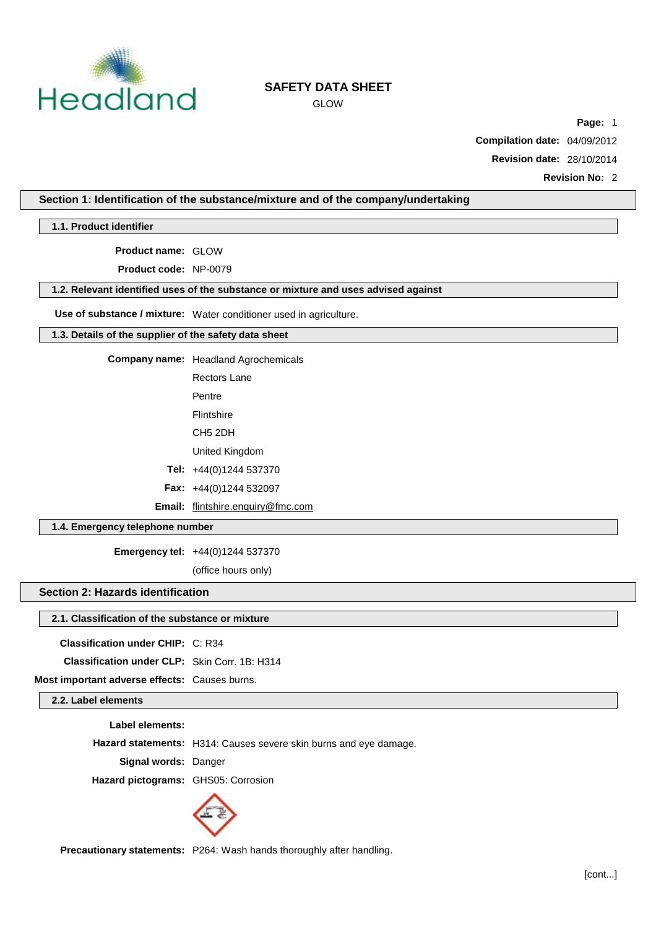

GLOW

**Page:** 1

**Compilation date:** 04/09/2012

**Revision date:** 28/10/2014

**Revision No:** 2

# **Section 1: Identification of the substance/mixture and of the company/undertaking**

**1.1. Product identifier**

**Product name:** GLOW

**Product code:** NP-0079

## **1.2. Relevant identified uses of the substance or mixture and uses advised against**

**Use of substance / mixture:** Water conditioner used in agriculture.

#### **1.3. Details of the supplier of the safety data sheet**

**Company name:** Headland Agrochemicals

Rectors Lane

Pentre

Flintshire

CH5 2DH

United Kingdom

**Tel:** +44(0)1244 537370

**Fax:** +44(0)1244 532097

**Email:** [flintshire.enquiry@fmc.com](mailto:flintshire.enquiry@fmc.com)

# **1.4. Emergency telephone number**

**Emergency tel:** +44(0)1244 537370

(office hours only)

#### **Section 2: Hazards identification**

#### **2.1. Classification of the substance or mixture**

**Classification under CHIP:** C: R34

**Classification under CLP:** Skin Corr. 1B: H314

**Most important adverse effects:** Causes burns.

**2.2. Label elements**

**Label elements:**

**Hazard statements:** H314: Causes severe skin burns and eye damage.

**Signal words:** Danger

**Hazard pictograms:** GHS05: Corrosion



**Precautionary statements:** P264: Wash hands thoroughly after handling.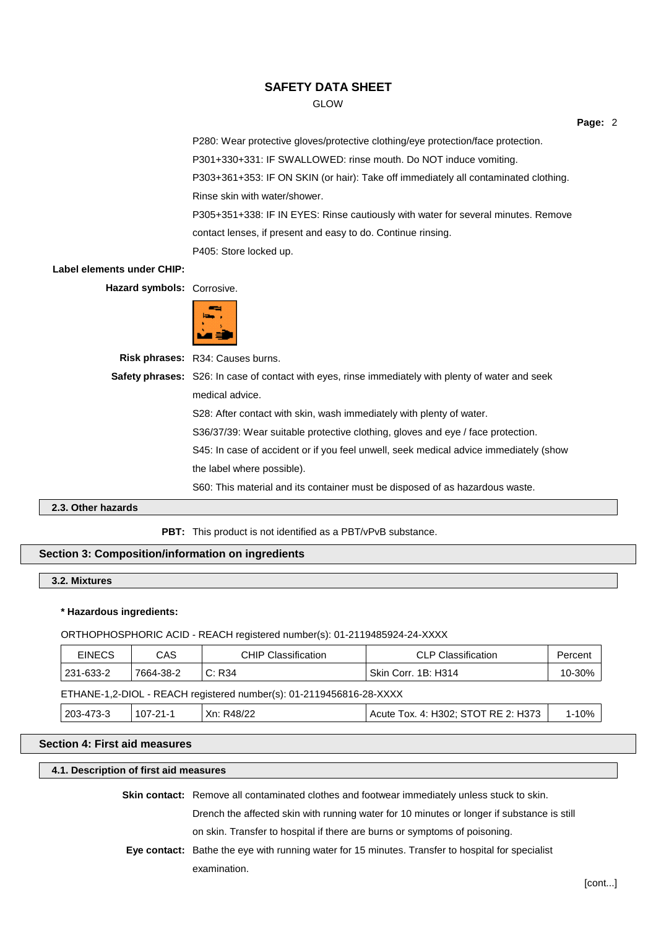GLOW

**Page:** 2

P280: Wear protective gloves/protective clothing/eye protection/face protection. P301+330+331: IF SWALLOWED: rinse mouth. Do NOT induce vomiting. P303+361+353: IF ON SKIN (or hair): Take off immediately all contaminated clothing. Rinse skin with water/shower. P305+351+338: IF IN EYES: Rinse cautiously with water for several minutes. Remove contact lenses, if present and easy to do. Continue rinsing. P405: Store locked up.

#### **Label elements under CHIP:**

**Hazard symbols:** Corrosive.



**Risk phrases:** R34: Causes burns.

**Safety phrases:** S26: In case of contact with eyes, rinse immediately with plenty of water and seek medical advice. S28: After contact with skin, wash immediately with plenty of water. S36/37/39: Wear suitable protective clothing, gloves and eye / face protection. S45: In case of accident or if you feel unwell, seek medical advice immediately (show the label where possible).

S60: This material and its container must be disposed of as hazardous waste.

# **2.3. Other hazards**

**PBT:** This product is not identified as a PBT/vPvB substance.

# **Section 3: Composition/information on ingredients**

## **3.2. Mixtures**

#### **\* Hazardous ingredients:**

ORTHOPHOSPHORIC ACID - REACH registered number(s): 01-2119485924-24-XXXX

| <b>EINECS</b> | <b>CAS</b> | <b>CHIP Classification</b>                                          | <b>CLP Classification</b>           | Percent   |
|---------------|------------|---------------------------------------------------------------------|-------------------------------------|-----------|
| 231-633-2     | 7664-38-2  | C: R34                                                              | Skin Corr. 1B: H314                 | 10-30%    |
|               |            | ETHANE-1,2-DIOL - REACH registered number(s): 01-2119456816-28-XXXX |                                     |           |
| 203-473-3     | 107-21-1   | Xn: R48/22                                                          | Acute Tox. 4: H302; STOT RE 2: H373 | $1 - 10%$ |

# **Section 4: First aid measures**

#### **4.1. Description of first aid measures**

| <b>Skin contact:</b> Remove all contaminated clothes and footwear immediately unless stuck to skin. |
|-----------------------------------------------------------------------------------------------------|
| Drench the affected skin with running water for 10 minutes or longer if substance is still          |
| on skin. Transfer to hospital if there are burns or symptoms of poisoning.                          |
| Eye contact: Bathe the eye with running water for 15 minutes. Transfer to hospital for specialist   |
| examination.                                                                                        |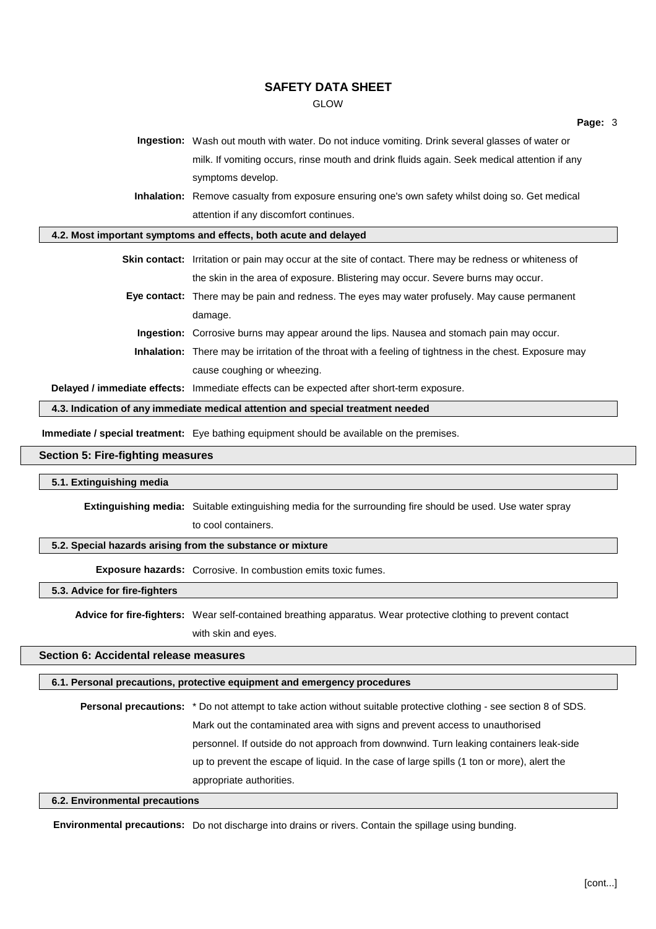GLOW

**Ingestion:** Wash out mouth with water. Do not induce vomiting. Drink several glasses of water or milk. If vomiting occurs, rinse mouth and drink fluids again. Seek medical attention if any symptoms develop.

**Inhalation:** Remove casualty from exposure ensuring one's own safety whilst doing so. Get medical attention if any discomfort continues.

**4.2. Most important symptoms and effects, both acute and delayed**

**Skin contact:** Irritation or pain may occur at the site of contact. There may be redness or whiteness of the skin in the area of exposure. Blistering may occur. Severe burns may occur.

- **Eye contact:** There may be pain and redness. The eyes may water profusely. May cause permanent damage.
	- **Ingestion:** Corrosive burns may appear around the lips. Nausea and stomach pain may occur.
	- **Inhalation:** There may be irritation of the throat with a feeling of tightness in the chest. Exposure may cause coughing or wheezing.

**Delayed / immediate effects:** Immediate effects can be expected after short-term exposure.

**4.3. Indication of any immediate medical attention and special treatment needed**

**Immediate / special treatment:** Eye bathing equipment should be available on the premises.

#### **Section 5: Fire-fighting measures**

#### **5.1. Extinguishing media**

**Extinguishing media:** Suitable extinguishing media for the surrounding fire should be used. Use water spray to cool containers.

#### **5.2. Special hazards arising from the substance or mixture**

**Exposure hazards:** Corrosive. In combustion emits toxic fumes.

#### **5.3. Advice for fire-fighters**

**Advice for fire-fighters:** Wear self-contained breathing apparatus. Wear protective clothing to prevent contact with skin and eyes.

## **Section 6: Accidental release measures**

# **6.1. Personal precautions, protective equipment and emergency procedures**

**Personal precautions:** \* Do not attempt to take action without suitable protective clothing - see section 8 of SDS. Mark out the contaminated area with signs and prevent access to unauthorised personnel. If outside do not approach from downwind. Turn leaking containers leak-side up to prevent the escape of liquid. In the case of large spills (1 ton or more), alert the appropriate authorities.

#### **6.2. Environmental precautions**

**Environmental precautions:** Do not discharge into drains or rivers. Contain the spillage using bunding.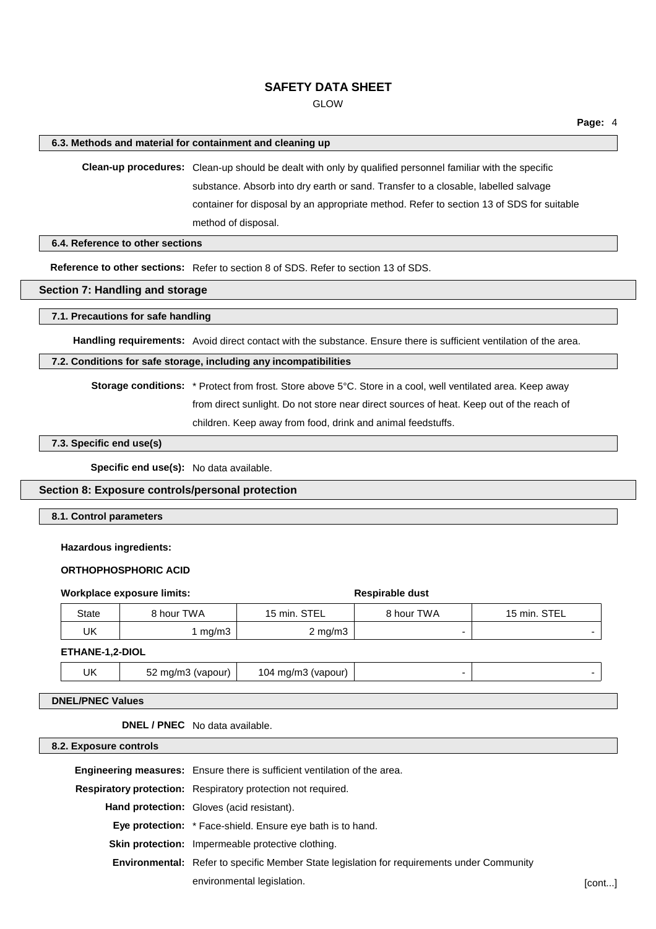GLOW

#### **6.3. Methods and material for containment and cleaning up**

**Clean-up procedures:** Clean-up should be dealt with only by qualified personnel familiar with the specific substance. Absorb into dry earth or sand. Transfer to a closable, labelled salvage container for disposal by an appropriate method. Refer to section 13 of SDS for suitable method of disposal.

**6.4. Reference to other sections**

**Reference to other sections:** Refer to section 8 of SDS. Refer to section 13 of SDS.

#### **Section 7: Handling and storage**

**7.1. Precautions for safe handling**

**Handling requirements:** Avoid direct contact with the substance. Ensure there is sufficient ventilation of the area.

#### **7.2. Conditions for safe storage, including any incompatibilities**

**Storage conditions:** \* Protect from frost. Store above 5°C. Store in a cool, well ventilated area. Keep away from direct sunlight. Do not store near direct sources of heat. Keep out of the reach of children. Keep away from food, drink and animal feedstuffs.

# **7.3. Specific end use(s)**

**Specific end use(s):** No data available.

# **Section 8: Exposure controls/personal protection**

**8.1. Control parameters**

#### **Hazardous ingredients:**

## **ORTHOPHOSPHORIC ACID**

|                        | Workplace exposure limits: | <b>Respirable dust</b> |            |              |
|------------------------|----------------------------|------------------------|------------|--------------|
| State                  | 8 hour TWA                 | 15 min. STEL           | 8 hour TWA | 15 min. STEL |
| UK                     | mg/m3                      | $2 \text{ mg/m}$       |            |              |
| <b>ETHANE-1.2-DIOL</b> |                            |                        |            |              |

# UK 52 mg/m3 (vapour) 104 mg/m3 (vapour) - -

# **DNEL/PNEC Values**

**DNEL / PNEC** No data available.

#### **8.2. Exposure controls**

**Engineering measures:** Ensure there is sufficient ventilation of the area.

**Respiratory protection:** Respiratory protection not required.

**Hand protection:** Gloves (acid resistant).

**Eye protection:** \* Face-shield. Ensure eye bath is to hand.

**Skin protection:** Impermeable protective clothing.

**Environmental:** Refer to specific Member State legislation for requirements under Community

environmental legislation. **Example 20** is a set of the set of the set of the set of the set of the set of the set of the set of the set of the set of the set of the set of the set of the set of the set of the set of the s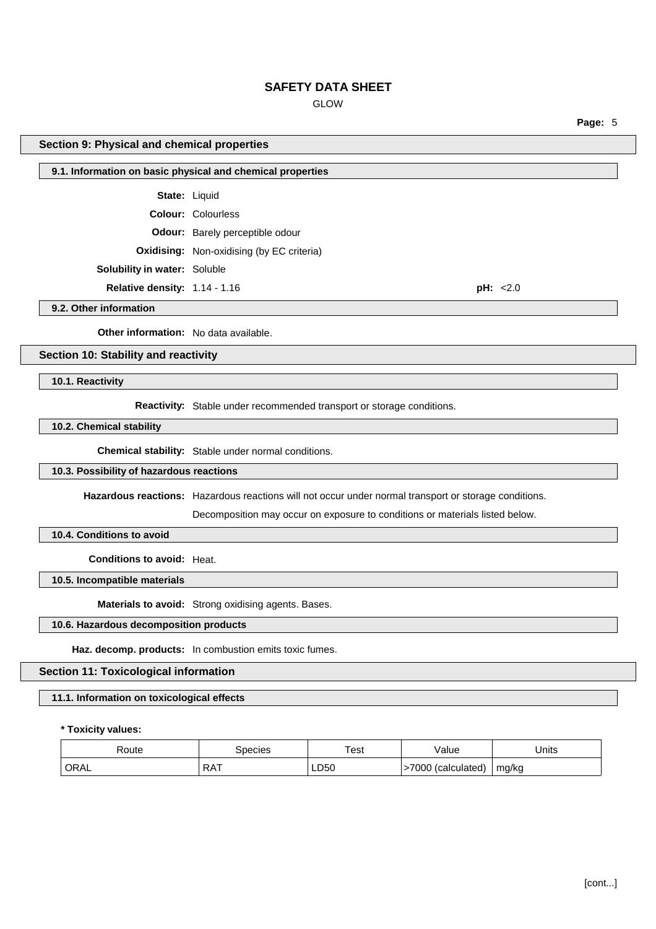# GLOW

**Section 9: Physical and chemical properties 9.1. Information on basic physical and chemical properties State:** Liquid **Colour:** Colourless **Odour:** Barely perceptible odour **Oxidising:** Non-oxidising (by EC criteria) **Solubility in water:** Soluble **Relative density:** 1.14 - 1.16 **pH:** <2.0

**9.2. Other information**

**Other information:** No data available.

## **Section 10: Stability and reactivity**

**10.1. Reactivity**

**Reactivity:** Stable under recommended transport or storage conditions.

#### **10.2. Chemical stability**

**Chemical stability:** Stable under normal conditions.

# **10.3. Possibility of hazardous reactions**

**Hazardous reactions:** Hazardous reactions will not occur under normal transport or storage conditions.

Decomposition may occur on exposure to conditions or materials listed below.

#### **10.4. Conditions to avoid**

**Conditions to avoid:** Heat.

**10.5. Incompatible materials**

**Materials to avoid:** Strong oxidising agents. Bases.

## **10.6. Hazardous decomposition products**

**Haz. decomp. products:** In combustion emits toxic fumes.

**Section 11: Toxicological information**

#### **11.1. Information on toxicological effects**

## **\* Toxicity values:**

| Route<br>.  | pecies       | 'est<br>. | /alue<br>.           | Units            |
|-------------|--------------|-----------|----------------------|------------------|
| <b>ORAL</b> | ^ פ<br>ו העו | LD50      | '000<br>(calculated) | mg/kg<br>$\cdot$ |

**Page:** 5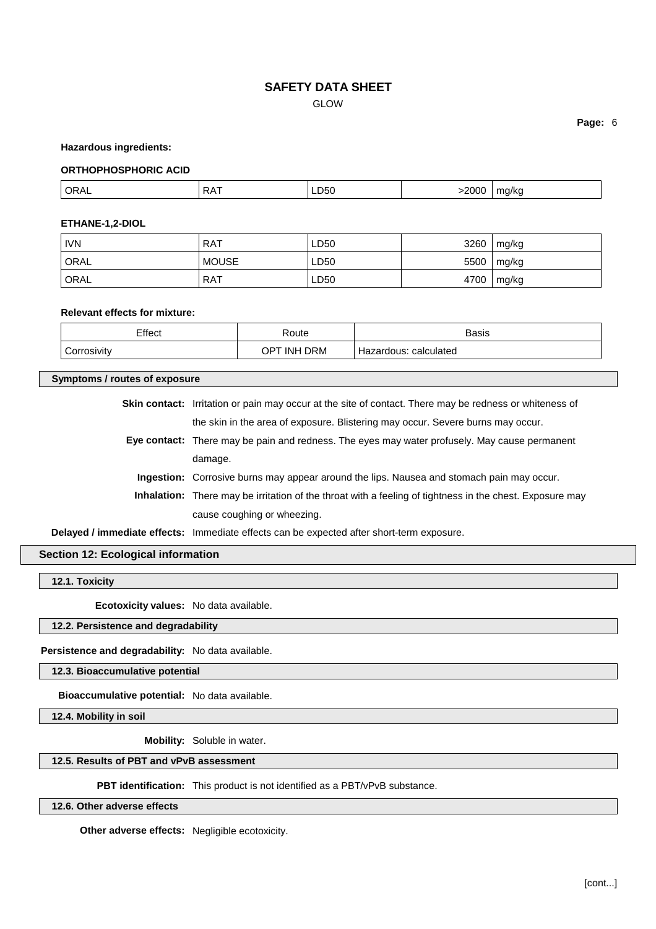GLOW

**Page:** 6

#### **Hazardous ingredients:**

#### **ORTHOPHOSPHORIC ACID**

| .2000<br>ORA.<br>LD50<br>-<br>A<br>- - -<br>___ |  |
|-------------------------------------------------|--|
|-------------------------------------------------|--|

#### **ETHANE-1,2-DIOL**

| <b>IVN</b> | RAT          | LD50 | 3260 | mg/kg |
|------------|--------------|------|------|-------|
| ORAL       | <b>MOUSE</b> | LD50 | 5500 | mg/kg |
| ORAL       | RAT          | LD50 | 4700 | mg/kg |

#### **Relevant effects for mixture:**

| Effect      | Route       | <b>Basis</b>          |
|-------------|-------------|-----------------------|
| Corrosivity | OPT INH DRM | Hazardous: calculated |

## **Symptoms / routes of exposure**

| <b>Skin contact:</b> Irritation or pain may occur at the site of contact. There may be redness or whiteness of |
|----------------------------------------------------------------------------------------------------------------|
| the skin in the area of exposure. Blistering may occur. Severe burns may occur.                                |
| Eye contact: There may be pain and redness. The eyes may water profusely. May cause permanent                  |
| damage.                                                                                                        |
| Ingestion: Corrosive burns may appear around the lips. Nausea and stomach pain may occur.                      |
| Inhalation: There may be irritation of the throat with a feeling of tightness in the chest. Exposure may       |
| cause coughing or wheezing.                                                                                    |
| Delayed / immediate effects: Immediate effects can be expected after short-term exposure.                      |

## **Section 12: Ecological information**

## **12.1. Toxicity**

**Ecotoxicity values:** No data available.

# **12.2. Persistence and degradability**

**Persistence and degradability:** No data available.

**12.3. Bioaccumulative potential**

**Bioaccumulative potential:** No data available.

**12.4. Mobility in soil**

**Mobility:** Soluble in water.

# **12.5. Results of PBT and vPvB assessment**

**PBT identification:** This product is not identified as a PBT/vPvB substance.

**12.6. Other adverse effects**

**Other adverse effects:** Negligible ecotoxicity.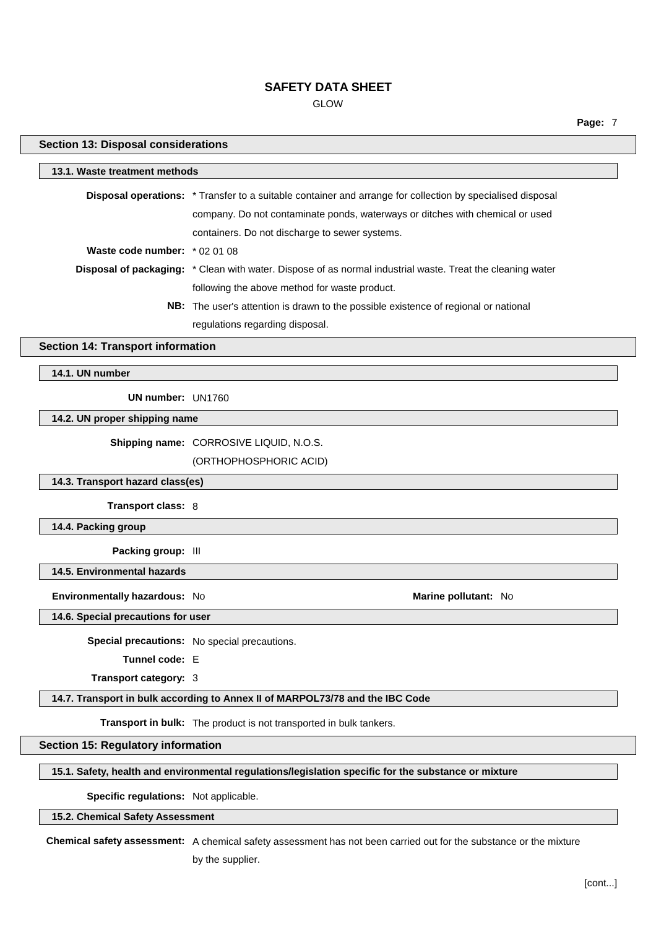GLOW

**Page:** 7

| <b>Section 13: Disposal considerations</b>                                    |                                                                                                            |  |
|-------------------------------------------------------------------------------|------------------------------------------------------------------------------------------------------------|--|
| 13.1. Waste treatment methods                                                 |                                                                                                            |  |
|                                                                               | Disposal operations: * Transfer to a suitable container and arrange for collection by specialised disposal |  |
|                                                                               | company. Do not contaminate ponds, waterways or ditches with chemical or used                              |  |
|                                                                               | containers. Do not discharge to sewer systems.                                                             |  |
| Waste code number: * 02 01 08                                                 |                                                                                                            |  |
|                                                                               | Disposal of packaging: * Clean with water. Dispose of as normal industrial waste. Treat the cleaning water |  |
|                                                                               | following the above method for waste product.                                                              |  |
|                                                                               | NB: The user's attention is drawn to the possible existence of regional or national                        |  |
|                                                                               | regulations regarding disposal.                                                                            |  |
| <b>Section 14: Transport information</b>                                      |                                                                                                            |  |
| 14.1. UN number                                                               |                                                                                                            |  |
| UN number: UN1760                                                             |                                                                                                            |  |
| 14.2. UN proper shipping name                                                 |                                                                                                            |  |
|                                                                               | Shipping name: CORROSIVE LIQUID, N.O.S.                                                                    |  |
|                                                                               | (ORTHOPHOSPHORIC ACID)                                                                                     |  |
| 14.3. Transport hazard class(es)                                              |                                                                                                            |  |
| Transport class: 8                                                            |                                                                                                            |  |
| 14.4. Packing group                                                           |                                                                                                            |  |
| Packing group: III                                                            |                                                                                                            |  |
| 14.5. Environmental hazards                                                   |                                                                                                            |  |
| Environmentally hazardous: No                                                 | Marine pollutant: No                                                                                       |  |
| 14.6. Special precautions for user                                            |                                                                                                            |  |
|                                                                               | Special precautions: No special precautions.                                                               |  |
| Tunnel code: E                                                                |                                                                                                            |  |
| Transport category: 3                                                         |                                                                                                            |  |
| 14.7. Transport in bulk according to Annex II of MARPOL73/78 and the IBC Code |                                                                                                            |  |
| Transport in bulk: The product is not transported in bulk tankers.            |                                                                                                            |  |
| <b>Section 15: Regulatory information</b>                                     |                                                                                                            |  |
|                                                                               | 15.1. Safety, health and environmental regulations/legislation specific for the substance or mixture       |  |
| Specific regulations: Not applicable.                                         |                                                                                                            |  |
| 15.2. Chemical Safety Assessment                                              |                                                                                                            |  |

**Chemical safety assessment:** A chemical safety assessment has not been carried out for the substance or the mixture

by the supplier.